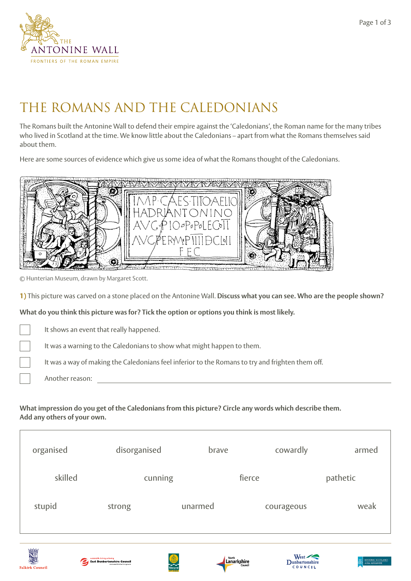

# THE ROMANS AND THE CALEDONIANS

The Romans built the Antonine Wall to defend their empire against the 'Caledonians', the Roman name for the many tribes who lived in Scotland at the time. We know little about the Caledonians – apart from what the Romans themselves said about them.

Here are some sources of evidence which give us some idea of what the Romans thought of the Caledonians.



© Hunterian Museum, drawn by Margaret Scott.

**1)** This picture was carved on a stone placed on the Antonine Wall. **Discuss what you can see. Who are the people shown?**

**What do you think this picture was for? Tick the option or options you think is most likely.**

It shows an event that really happened.

**East Dunbartonshire Council**<br>East Dunbartonshire Counci

It was a warning to the Caledonians to show what might happen to them.

It was a way of making the Caledonians feel inferior to the Romans to try and frighten them off.

Another reason:

#### **What impression do you get of the Caledonians from this picture? Circle any words which describe them. Add any others of your own.**

| organised | disorganised | brave   | cowardly   | armed    |
|-----------|--------------|---------|------------|----------|
| skilled   | cunning      |         | fierce     | pathetic |
| stupid    | strong       | unarmed | courageous | weak     |
|           |              |         |            |          |

Lanarkshire





Page 1 of 3

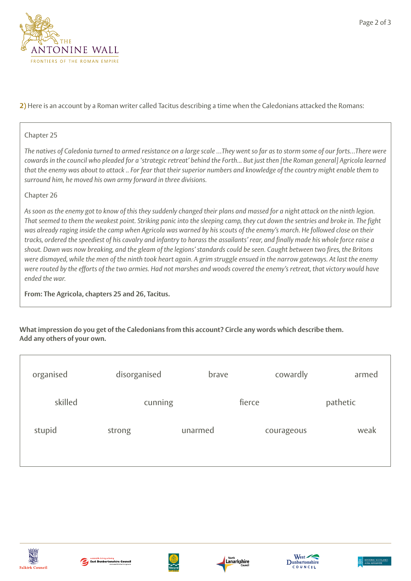

**2)** Here is an account by a Roman writer called Tacitus describing a time when the Caledonians attacked the Romans:

### Chapter 25

*The natives of Caledonia turned to armed resistance on a large scale …They went so far as to storm some of our forts…There were cowards in the council who pleaded for a 'strategic retreat' behind the Forth... But just then [the Roman general] Agricola learned that the enemy was about to attack .. For fear that their superior numbers and knowledge of the country might enable them to surround him, he moved his own army forward in three divisions.*

## Chapter 26

*As soon as the enemy got to know of this they suddenly changed their plans and massed for a night attack on the ninth legion. That seemed to them the weakest point. Striking panic into the sleeping camp, they cut down the sentries and broke in. The fight was already raging inside the camp when Agricola was warned by his scouts of the enemy's march. He followed close on their tracks, ordered the speediest of his cavalry and infantry to harass the assailants' rear, and finally made his whole force raise a shout. Dawn was now breaking, and the gleam of the legions' standards could be seen. Caught between two fires, the Britons were dismayed, while the men of the ninth took heart again. A grim struggle ensued in the narrow gateways. At last the enemy were routed by the efforts of the two armies. Had not marshes and woods covered the enemy's retreat, that victory would have ended the war.*

**From: The Agricola, chapters 25 and 26, Tacitus.**

#### **What impression do you get of the Caledonians from this account? Circle any words which describe them. Add any others of your own.**

| organised | disorganised | brave   | cowardly   | armed    |
|-----------|--------------|---------|------------|----------|
| skilled   | cunning      |         | fierce     | pathetic |
| stupid    | strong       | unarmed | courageous | weak     |
|           |              |         |            |          |